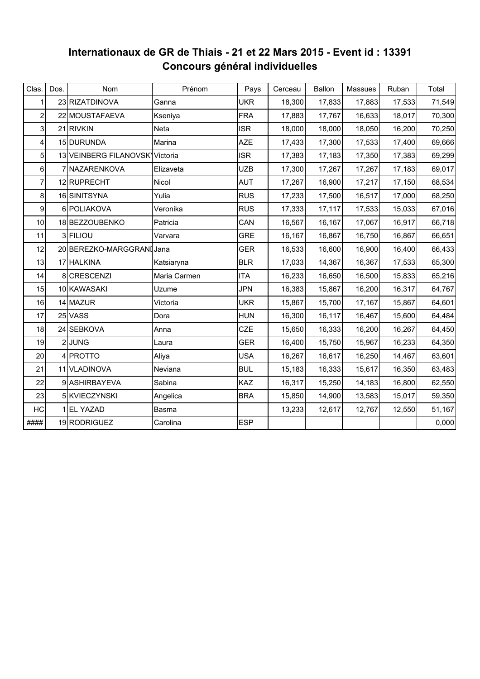## **Internationaux de GR de Thiais - 21 et 22 Mars 2015 - Event id : 13391 Concours général individuelles**

| Clas.          | Dos. | Nom                            | Prénom       | Pays       | Cerceau | Ballon | Massues | Ruban  | Total  |
|----------------|------|--------------------------------|--------------|------------|---------|--------|---------|--------|--------|
| 1              |      | 23 RIZATDINOVA                 | Ganna        | <b>UKR</b> | 18,300  | 17,833 | 17,883  | 17,533 | 71,549 |
| $\overline{2}$ |      | 22 MOUSTAFAEVA                 | Kseniya      | <b>FRA</b> | 17,883  | 17,767 | 16,633  | 18,017 | 70,300 |
| 3              |      | 21 RIVKIN                      | Neta         | <b>ISR</b> | 18,000  | 18,000 | 18,050  | 16,200 | 70,250 |
| 4              |      | 15 DURUNDA                     | Marina       | <b>AZE</b> | 17,433  | 17,300 | 17,533  | 17,400 | 69,666 |
| 5              |      | 13 VEINBERG FILANOVSK Victoria |              | <b>ISR</b> | 17,383  | 17,183 | 17,350  | 17,383 | 69,299 |
| 6              |      | 7 NAZARENKOVA                  | Elizaveta    | <b>UZB</b> | 17,300  | 17,267 | 17,267  | 17,183 | 69,017 |
| 7              |      | 12 RUPRECHT                    | Nicol        | <b>AUT</b> | 17,267  | 16,900 | 17,217  | 17,150 | 68,534 |
| 8              |      | 16 SINITSYNA                   | Yulia        | <b>RUS</b> | 17,233  | 17,500 | 16,517  | 17,000 | 68,250 |
| 9              |      | 6 POLIAKOVA                    | Veronika     | <b>RUS</b> | 17,333  | 17,117 | 17,533  | 15,033 | 67,016 |
| 10             |      | 18 BEZZOUBENKO                 | Patricia     | CAN        | 16,567  | 16,167 | 17,067  | 16,917 | 66,718 |
| 11             |      | 3 FILIOU                       | Varvara      | <b>GRE</b> | 16,167  | 16,867 | 16,750  | 16,867 | 66,651 |
| 12             |      | 20 BEREZKO-MARGGRANI Jana      |              | <b>GER</b> | 16,533  | 16,600 | 16,900  | 16,400 | 66,433 |
| 13             |      | 17 HALKINA                     | Katsiaryna   | <b>BLR</b> | 17,033  | 14,367 | 16,367  | 17,533 | 65,300 |
| 14             |      | 8 CRESCENZI                    | Maria Carmen | <b>ITA</b> | 16,233  | 16,650 | 16,500  | 15,833 | 65,216 |
| 15             |      | 10 KAWASAKI                    | Uzume        | <b>JPN</b> | 16,383  | 15,867 | 16,200  | 16,317 | 64,767 |
| 16             |      | 14 MAZUR                       | Victoria     | <b>UKR</b> | 15,867  | 15,700 | 17,167  | 15,867 | 64,601 |
| 17             |      | 25 VASS                        | Dora         | <b>HUN</b> | 16,300  | 16,117 | 16,467  | 15,600 | 64,484 |
| 18             |      | 24 SEBKOVA                     | Anna         | CZE        | 15,650  | 16,333 | 16,200  | 16,267 | 64,450 |
| 19             |      | 2JUNG                          | Laura        | <b>GER</b> | 16,400  | 15,750 | 15,967  | 16,233 | 64,350 |
| 20             |      | 4 PROTTO                       | Aliya        | <b>USA</b> | 16,267  | 16,617 | 16,250  | 14,467 | 63,601 |
| 21             |      | 11 VLADINOVA                   | Neviana      | <b>BUL</b> | 15,183  | 16,333 | 15,617  | 16,350 | 63,483 |
| 22             |      | 9 ASHIRBAYEVA                  | Sabina       | KAZ        | 16,317  | 15,250 | 14,183  | 16,800 | 62,550 |
| 23             |      | 5 KVIECZYNSKI                  | Angelica     | <b>BRA</b> | 15,850  | 14,900 | 13,583  | 15,017 | 59,350 |
| HC             |      | 1 EL YAZAD                     | Basma        |            | 13,233  | 12,617 | 12,767  | 12,550 | 51,167 |
| ####           |      | 19 RODRIGUEZ                   | Carolina     | <b>ESP</b> |         |        |         |        | 0,000  |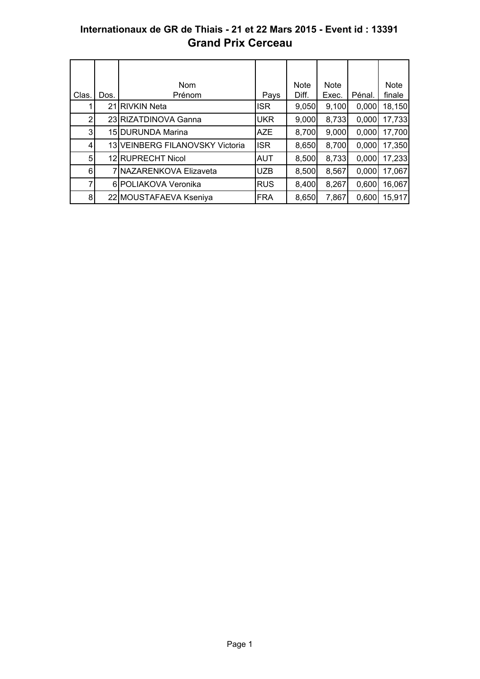### **Internationaux de GR de Thiais - 21 et 22 Mars 2015 - Event id : 13391 Grand Prix Cerceau**

|                |      | <b>Nom</b>                      |            | <b>Note</b> | <b>Note</b> |        | <b>Note</b> |
|----------------|------|---------------------------------|------------|-------------|-------------|--------|-------------|
| Clas           | Dos. | Prénom                          | Pays       | Diff.       | Exec.       | Pénal. | finale      |
|                |      | 21 RIVKIN Neta                  | <b>ISR</b> | 9,050       | 9,100       | 0,000  | 18,150      |
| $\overline{2}$ |      | 23 RIZATDINOVA Ganna            | <b>UKR</b> | 9,000       | 8,733       | 0,000  | 17,733      |
| 3              |      | 15 DURUNDA Marina               | <b>AZE</b> | 8,700       | 9,000       | 0,000  | 17,700      |
| 4              |      | 13 VEINBERG FILANOVSKY Victoria | <b>ISR</b> | 8,650       | 8,700       | 0,000  | 17,350      |
| 5              |      | 12 RUPRECHT Nicol               | <b>AUT</b> | 8,500       | 8,733       | 0,000  | 17,233      |
| 6              |      | 7 NAZARENKOVA Elizaveta         | <b>UZB</b> | 8,500       | 8,567       | 0,000  | 17,067      |
| 7              |      | 6 POLIAKOVA Veronika            | <b>RUS</b> | 8,400       | 8,267       | 0,600  | 16,067      |
| 8              |      | 22 MOUSTAFAEVA Kseniya          | <b>FRA</b> | 8,650       | 7,867       | 0,600  | 15,917      |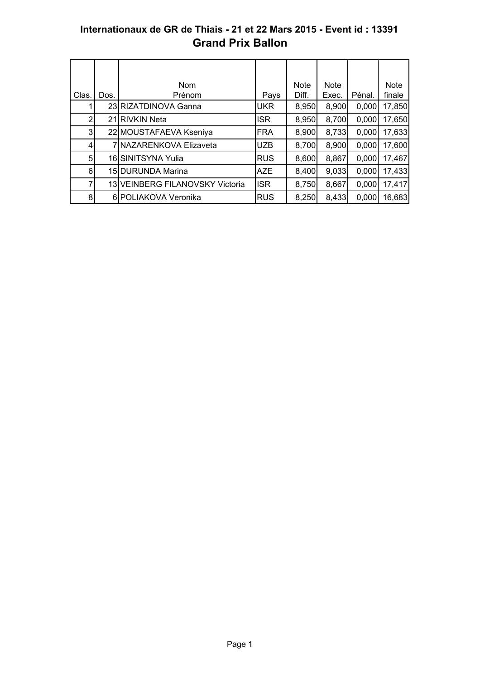## **Internationaux de GR de Thiais - 21 et 22 Mars 2015 - Event id : 13391 Grand Prix Ballon**

|                |      | <b>Nom</b>                      |            | <b>Note</b> | <b>Note</b> |        | <b>Note</b> |
|----------------|------|---------------------------------|------------|-------------|-------------|--------|-------------|
| Clas.          | Dos. | Prénom                          | Pays       | Diff.       | Exec.       | Pénal. | finale      |
|                |      | 23 RIZATDINOVA Ganna            | <b>UKR</b> | 8,950       | 8,900       | 0,000  | 17,850      |
| $\overline{2}$ |      | 21 RIVKIN Neta                  | <b>ISR</b> | 8,950       | 8,700       | 0,000  | 17,650      |
| 3              |      | 22 MOUSTAFAEVA Kseniya          | <b>FRA</b> | 8,900       | 8,733       | 0,000  | 17,633      |
| 4              |      | 7 INAZARENKOVA Elizaveta        | <b>UZB</b> | 8,700       | 8,900       | 0,000  | 17,600      |
| 5              |      | 16 SINITSYNA Yulia              | <b>RUS</b> | 8,600       | 8,867       | 0,000  | 17,467      |
| 6              |      | 15 DURUNDA Marina               | <b>AZE</b> | 8,400       | 9,033       | 0,000  | 17,433      |
| 7              |      | 13 VEINBERG FILANOVSKY Victoria | <b>ISR</b> | 8,750       | 8,667       | 0,000  | 17,417      |
| 8              |      | 6 POLIAKOVA Veronika            | <b>RUS</b> | 8,250       | 8,433       | 0,000  | 16,683      |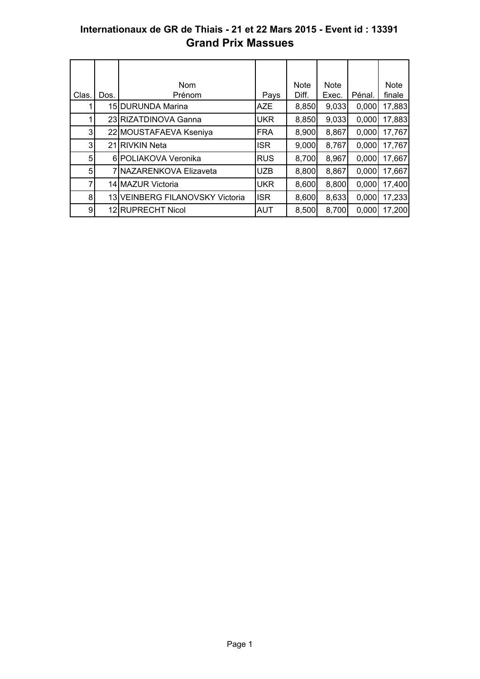### **Internationaux de GR de Thiais - 21 et 22 Mars 2015 - Event id : 13391 Grand Prix Massues**

|       |      | <b>Nom</b>                      |             | <b>Note</b> | <b>Note</b> |        | <b>Note</b> |
|-------|------|---------------------------------|-------------|-------------|-------------|--------|-------------|
| Clas. | Dos. | Prénom                          | Pays        | Diff.       | Exec.       | Pénal. | finale      |
|       |      | 15 DURUNDA Marina               | <b>AZE</b>  | 8,850       | 9,033       | 0,000  | 17,883      |
|       |      | 23 RIZATDINOVA Ganna            | <b>UKR</b>  | 8,850       | 9.033       | 0.000  | 17,883      |
| 3     |      | 22 MOUSTAFAEVA Kseniya          | <b>IFRA</b> | 8,900       | 8,867       | 0,000  | 17,767      |
| 3     |      | 21 RIVKIN Neta                  | <b>ISR</b>  | 9,000       | 8,767       | 0,000  | 17,767      |
| 5     |      | 6 POLIAKOVA Veronika            | <b>RUS</b>  | 8,700       | 8,967       | 0,000  | 17,667      |
| 5     |      | 7 NAZARENKOVA Elizaveta         | <b>UZB</b>  | 8,800       | 8,867       | 0,000  | 17,667      |
| 7     |      | 14 MAZUR Victoria               | <b>UKR</b>  | 8,600       | 8,800       | 0,000  | 17,400      |
| 8     |      | 13 VEINBERG FILANOVSKY Victoria | <b>ISR</b>  | 8,600       | 8,633       | 0.000  | 17,233      |
| 9     |      | 12 RUPRECHT Nicol               | <b>AUT</b>  | 8,500       | 8,700       | 0,000  | 17,200      |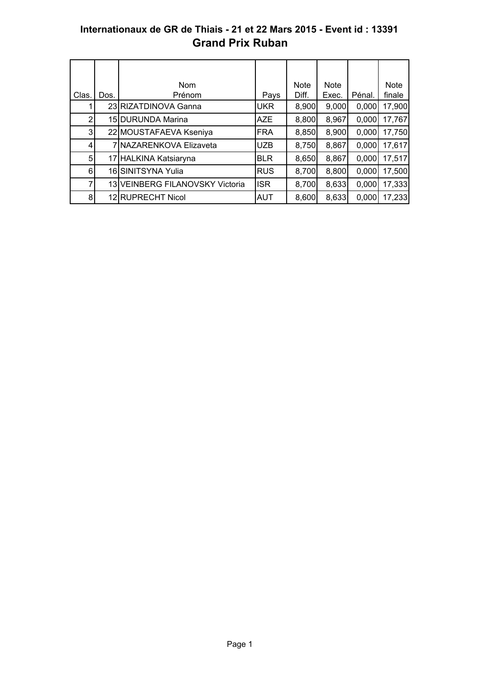## **Internationaux de GR de Thiais - 21 et 22 Mars 2015 - Event id : 13391 Grand Prix Ruban**

|                |      | <b>Nom</b>                      |            | <b>Note</b> | <b>Note</b> |        | <b>Note</b> |
|----------------|------|---------------------------------|------------|-------------|-------------|--------|-------------|
| Clas.          | Dos. | Prénom                          | Pays       | Diff.       | Exec.       | Pénal. | finale      |
|                |      | 23 RIZATDINOVA Ganna            | <b>UKR</b> | 8,900       | 9,000       | 0,000  | 17,900      |
| 2              |      | 15 <b>DURUNDA</b> Marina        | <b>AZE</b> | 8,800       | 8,967       | 0,000  | 17,767      |
| 3              |      | 22 MOUSTAFAEVA Kseniya          | <b>FRA</b> | 8,850       | 8,900       | 0,000  | 17,750      |
| 4              |      | 7 NAZARENKOVA Elizaveta         | <b>UZB</b> | 8,750       | 8,867       | 0,000  | 17,617      |
| 5              |      | 17 HALKINA Katsiaryna           | <b>BLR</b> | 8,650       | 8,867       | 0,000  | 17,517      |
| 6              |      | 16 SINITSYNA Yulia              | <b>RUS</b> | 8,700       | 8,800       | 0,000  | 17,500      |
| $\overline{7}$ |      | 13 VEINBERG FILANOVSKY Victoria | <b>ISR</b> | 8,700       | 8,633       | 0,000  | 17,333      |
| 8              |      | 12 RUPRECHT Nicol               | <b>AUT</b> | 8,600       | 8,633       | 0,000  | 17,233      |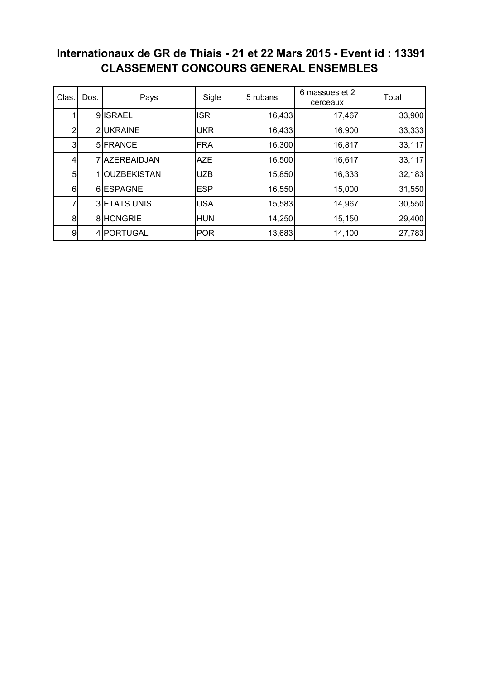# **Internationaux de GR de Thiais - 21 et 22 Mars 2015 - Event id : 13391 CLASSEMENT CONCOURS GENERAL ENSEMBLES**

| Clas.          | Dos. | Pays                | Sigle      | 5 rubans | 6 massues et 2<br>Total<br>cerceaux |        |
|----------------|------|---------------------|------------|----------|-------------------------------------|--------|
|                |      | 9ISRAEL             | <b>ISR</b> | 16,433   | 17,467                              | 33,900 |
| 2              |      | 2UKRAINE            | <b>UKR</b> | 16,433   | 16,900                              | 33,333 |
| 3              |      | 5 FRANCE            | <b>FRA</b> | 16,300   | 16,817                              | 33,117 |
| 41             |      | 7 AZERBAIDJAN       | <b>AZE</b> | 16,500   | 16,617                              | 33,117 |
| 5 <sub>l</sub> |      | <b>OUZBEKISTAN</b>  | <b>UZB</b> | 15,850   | 16,333                              | 32,183 |
| $6 \mid$       |      | 6 ESPAGNE           | <b>ESP</b> | 16,550   | 15,000                              | 31,550 |
| 7              |      | <b>3 ETATS UNIS</b> | <b>USA</b> | 15,583   | 14,967                              | 30,550 |
| 8 <sup>1</sup> |      | 8 HONGRIE           | <b>HUN</b> | 14,250   | 15,150                              | 29,400 |
| 9              |      | 4 PORTUGAL          | <b>POR</b> | 13,683   | 14,100                              | 27,783 |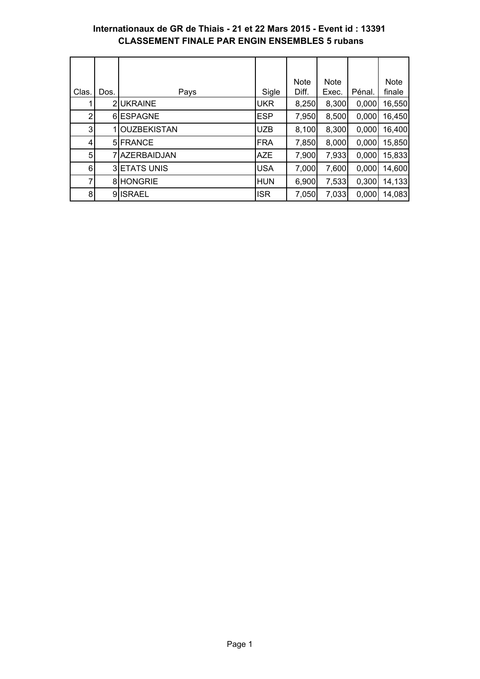#### **Internationaux de GR de Thiais - 21 et 22 Mars 2015 - Event id : 13391 CLASSEMENT FINALE PAR ENGIN ENSEMBLES 5 rubans**

|       |      |                     |            | <b>Note</b> | <b>Note</b> |        | <b>Note</b> |
|-------|------|---------------------|------------|-------------|-------------|--------|-------------|
| Clas. | Dos. | Pays                | Sigle      | Diff.       | Exec.       | Pénal. | finale      |
|       |      | 2UKRAINE            | <b>UKR</b> | 8,250       | 8,300       | 0,000  | 16,550      |
| 2     |      | 6 ESPAGNE           | <b>ESP</b> | 7,950       | 8,500       | 0,000  | 16,450      |
| 3     |      | <b>OUZBEKISTAN</b>  | <b>UZB</b> | 8,100       | 8,300       | 0,000  | 16,400      |
| 4     |      | 5 FRANCE            | <b>FRA</b> | 7,850       | 8,000       | 0,000  | 15,850      |
| 5     |      | 7 AZERBAIDJAN       | <b>AZE</b> | 7,900       | 7,933       | 0,000  | 15,833      |
| 6     |      | <b>3 ETATS UNIS</b> | <b>USA</b> | 7,000       | 7,600       | 0,000  | 14,600      |
| 7     |      | 8 HONGRIE           | <b>HUN</b> | 6,900       | 7,533       | 0,300  | 14,133      |
| 8     |      | 9ISRAEL             | <b>ISR</b> | 7,050       | 7,033       | 0,000  | 14,083      |